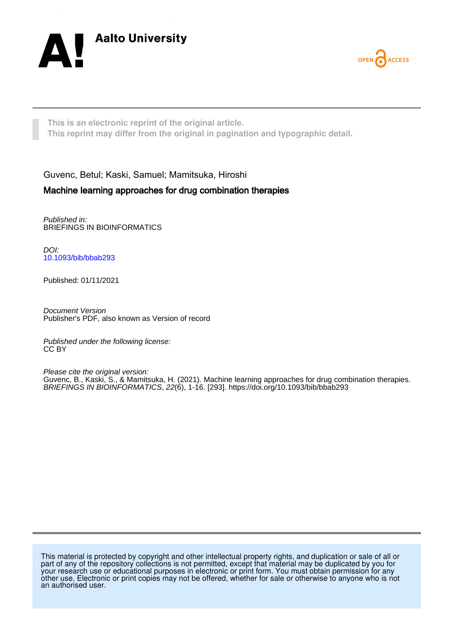



**This is an electronic reprint of the original article. This reprint may differ from the original in pagination and typographic detail.**

Guvenc, Betul; Kaski, Samuel; Mamitsuka, Hiroshi

# Machine learning approaches for drug combination therapies

Published in: BRIEFINGS IN BIOINFORMATICS

DOI: [10.1093/bib/bbab293](https://doi.org/10.1093/bib/bbab293)

Published: 01/11/2021

Document Version Publisher's PDF, also known as Version of record

Published under the following license: CC BY

Please cite the original version:

Guvenc, B., Kaski, S., & Mamitsuka, H. (2021). Machine learning approaches for drug combination therapies. BRIEFINGS IN BIOINFORMATICS, 22(6), 1-16. [293].<https://doi.org/10.1093/bib/bbab293>

This material is protected by copyright and other intellectual property rights, and duplication or sale of all or part of any of the repository collections is not permitted, except that material may be duplicated by you for your research use or educational purposes in electronic or print form. You must obtain permission for any other use. Electronic or print copies may not be offered, whether for sale or otherwise to anyone who is not an authorised user.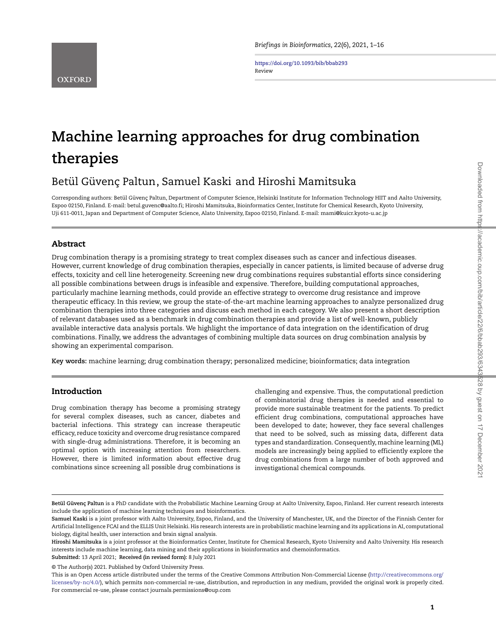**<https://doi.org/10.1093/bib/bbab293>** Review

# **Machine learning approaches for drug combination therapies**

# Betül Güvenç Paltun, Samuel Kaski and Hiroshi Mamitsuka

Corresponding authors: Betül Güvenç Paltun, Department of Computer Science, Helsinki Institute for Information Technology HIIT and Aalto University, Espoo 02150, Finland. E-mail: betul.guvenc@aalto.fi; Hiroshi Mamitsuka, Bioinformatics Center, Institute for Chemical Research, Kyoto University, Uji 611-0011, Japan and Department of Computer Science, Alato University, Espoo 02150, Finland. E-mail: mami@kuicr.kyoto-u.ac.jp

# **Abstract**

Drug combination therapy is a promising strategy to treat complex diseases such as cancer and infectious diseases. However, current knowledge of drug combination therapies, especially in cancer patients, is limited because of adverse drug effects, toxicity and cell line heterogeneity. Screening new drug combinations requires substantial efforts since considering all possible combinations between drugs is infeasible and expensive. Therefore, building computational approaches, particularly machine learning methods, could provide an effective strategy to overcome drug resistance and improve therapeutic efficacy. In this review, we group the state-of-the-art machine learning approaches to analyze personalized drug combination therapies into three categories and discuss each method in each category. We also present a short description of relevant databases used as a benchmark in drug combination therapies and provide a list of well-known, publicly available interactive data analysis portals. We highlight the importance of data integration on the identification of drug combinations. Finally, we address the advantages of combining multiple data sources on drug combination analysis by showing an experimental comparison.

**Key words:** machine learning; drug combination therapy; personalized medicine; bioinformatics; data integration

# **Introduction**

Drug combination therapy has become a promising strategy for several complex diseases, such as cancer, diabetes and bacterial infections. This strategy can increase therapeutic efficacy, reduce toxicity and overcome drug resistance compared with single-drug administrations. Therefore, it is becoming an optimal option with increasing attention from researchers. However, there is limited information about effective drug combinations since screening all possible drug combinations is

challenging and expensive. Thus, the computational prediction of combinatorial drug therapies is needed and essential to provide more sustainable treatment for the patients. To predict efficient drug combinations, computational approaches have been developed to date; however, they face several challenges that need to be solved, such as missing data, different data types and standardization. Consequently, machine learning (ML) models are increasingly being applied to efficiently explore the drug combinations from a large number of both approved and investigational chemical compounds.

**Submitted:** 13 April 2021; **Received (in revised form):** 8 July 2021

© The Author(s) 2021. Published by Oxford University Press.

**Betül Güvenç Paltun** is a PhD candidate with the Probabilistic Machine Learning Group at Aalto University, Espoo, Finland. Her current research interests include the application of machine learning techniques and bioinformatics.

**Samuel Kaski** is a joint professor with Aalto University, Espoo, Finland, and the University of Manchester, UK, and the Director of the Finnish Center for Artificial Intelligence FCAI and the ELLIS Unit Helsinki. His research interests are in probabilistic machine learning and its applications in AI, computational biology, digital health, user interaction and brain signal analysis.

**Hiroshi Mamitsuka** is a joint professor at the Bioinformatics Center, Institute for Chemical Research, Kyoto University and Aalto University. His research interests include machine learning, data mining and their applications in bioinformatics and chemoinformatics.

This is an Open Access article distributed under the terms of the Creative Commons Attribution Non-Commercial License [\(http://creativecommons.org/](http://creativecommons.org/licenses/by-nc/4.0/) [licenses/by-nc/4.0/\)](http://creativecommons.org/licenses/by-nc/4.0/), which permits non-commercial re-use, distribution, and reproduction in any medium, provided the original work is properly cited. For commercial re-use, please contact journals.permissions@oup.com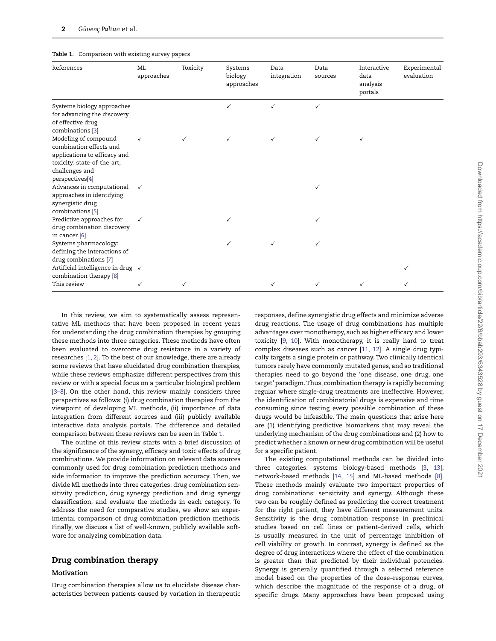<span id="page-2-0"></span>

| <b>Table 1.</b> Comparison with existing survey papers |  |
|--------------------------------------------------------|--|
|--------------------------------------------------------|--|

| References                                                                                                                                          | ML<br>approaches | Toxicity | Systems<br>biology<br>approaches | Data<br>integration | Data<br>sources | Interactive<br>data<br>analysis<br>portals | Experimental<br>evaluation |
|-----------------------------------------------------------------------------------------------------------------------------------------------------|------------------|----------|----------------------------------|---------------------|-----------------|--------------------------------------------|----------------------------|
| Systems biology approaches<br>for advancing the discovery<br>of effective drug<br>combinations [3]                                                  |                  |          | $\checkmark$                     | ✓                   | ✓               |                                            |                            |
| Modeling of compound<br>combination effects and<br>applications to efficacy and<br>toxicity: state-of-the-art,<br>challenges and<br>perspectives[4] |                  |          |                                  | ✓                   |                 |                                            |                            |
| Advances in computational<br>approaches in identifying<br>synergistic drug<br>combinations [5]                                                      | $\checkmark$     |          |                                  |                     |                 |                                            |                            |
| Predictive approaches for<br>drug combination discovery<br>in cancer [6]                                                                            |                  |          |                                  |                     |                 |                                            |                            |
| Systems pharmacology:<br>defining the interactions of<br>drug combinations [7]                                                                      |                  |          |                                  |                     |                 |                                            |                            |
| Artificial intelligence in drug $\checkmark$<br>combination therapy [8]                                                                             |                  |          |                                  |                     |                 |                                            |                            |
| This review                                                                                                                                         | ✓                |          |                                  |                     |                 |                                            |                            |

In this review, we aim to systematically assess representative ML methods that have been proposed in recent years for understanding the drug combination therapies by grouping these methods into three categories. These methods have often been evaluated to overcome drug resistance in a variety of researches [\[1,](#page-14-6) [2\]](#page-14-7). To the best of our knowledge, there are already some reviews that have elucidated drug combination therapies, while these reviews emphasize different perspectives from this review or with a special focus on a particular biological problem [\[3](#page-14-0)[–8\]](#page-14-5). On the other hand, this review mainly considers three perspectives as follows: (i) drug combination therapies from the viewpoint of developing ML methods, (ii) importance of data integration from different sources and (iii) publicly available interactive data analysis portals. The difference and detailed comparison between these reviews can be seen in Table [1.](#page-2-0)

The outline of this review starts with a brief discussion of the significance of the synergy, efficacy and toxic effects of drug combinations. We provide information on relevant data sources commonly used for drug combination prediction methods and side information to improve the prediction accuracy. Then, we divide ML methods into three categories: drug combination sensitivity prediction, drug synergy prediction and drug synergy classification, and evaluate the methods in each category. To address the need for comparative studies, we show an experimental comparison of drug combination prediction methods. Finally, we discuss a list of well-known, publicly available software for analyzing combination data.

# **Drug combination therapy**

#### **Motivation**

Drug combination therapies allow us to elucidate disease characteristics between patients caused by variation in therapeutic responses, define synergistic drug effects and minimize adverse drug reactions. The usage of drug combinations has multiple advantages over monotherapy, such as higher efficacy and lower toxicity [\[9,](#page-14-8) [10\]](#page-14-9). With monotherapy, it is really hard to treat complex diseases such as cancer [\[11,](#page-14-10) [12\]](#page-14-11). A single drug typically targets a single protein or pathway. Two clinically identical tumors rarely have commonly mutated genes, and so traditional therapies need to go beyond the 'one disease, one drug, one target' paradigm. Thus, combination therapy is rapidly becoming regular where single-drug treatments are ineffective. However, the identification of combinatorial drugs is expensive and time consuming since testing every possible combination of these drugs would be infeasible. The main questions that arise here are (1) identifying predictive biomarkers that may reveal the underlying mechanism of the drug combinations and (2) how to predict whether a known or new drug combination will be useful for a specific patient.

The existing computational methods can be divided into three categories: systems biology-based methods [\[3,](#page-14-0) [13\]](#page-14-12), network-based methods [\[14,](#page-14-13) [15\]](#page-14-14) and ML-based methods [\[8\]](#page-14-5). These methods mainly evaluate two important properties of drug combinations: sensitivity and synergy. Although these two can be roughly defined as predicting the correct treatment for the right patient, they have different measurement units. Sensitivity is the drug combination response in preclinical studies based on cell lines or patient-derived cells, which is usually measured in the unit of percentage inhibition of cell viability or growth. In contrast, synergy is defined as the degree of drug interactions where the effect of the combination is greater than that predicted by their individual potencies. Synergy is generally quantified through a selected reference model based on the properties of the dose–response curves, which describe the magnitude of the response of a drug, of specific drugs. Many approaches have been proposed using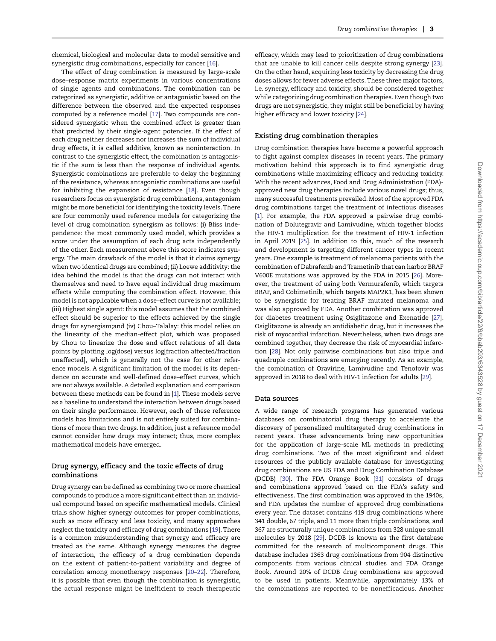chemical, biological and molecular data to model sensitive and synergistic drug combinations, especially for cancer [\[16\]](#page-14-15).

The effect of drug combination is measured by large-scale dose–response matrix experiments in various concentrations of single agents and combinations. The combination can be categorized as synergistic, additive or antagonistic based on the difference between the observed and the expected responses computed by a reference model [\[17\]](#page-14-16). Two compounds are considered synergistic when the combined effect is greater than that predicted by their single-agent potencies. If the effect of each drug neither decreases nor increases the sum of individual drug effects, it is called additive, known as noninteraction. In contrast to the synergistic effect, the combination is antagonistic if the sum is less than the response of individual agents. Synergistic combinations are preferable to delay the beginning of the resistance, whereas antagonistic combinations are useful for inhibiting the expansion of resistance [\[18\]](#page-14-17). Even though researchers focus on synergistic drug combinations, antagonism might be more beneficial for identifying the toxicity levels. There are four commonly used reference models for categorizing the level of drug combination synergism as follows: (i) Bliss independence: the most commonly used model, which provides a score under the assumption of each drug acts independently of the other. Each measurement above this score indicates synergy. The main drawback of the model is that it claims synergy when two identical drugs are combined; (ii) Loewe additivity: the idea behind the model is that the drugs can not interact with themselves and need to have equal individual drug maximum effects while computing the combination effect. However, this model is not applicable when a dose–effect curve is not available; (iii) Highest single agent: this model assumes that the combined effect should be superior to the effects achieved by the single drugs for synergism;and (iv) Chou–Talalay: this model relies on the linearity of the median-effect plot, which was proposed by Chou to linearize the dose and effect relations of all data points by plotting log(dose) versus log[fraction affected/fraction unaffected], which is generally not the case for other reference models. A significant limitation of the model is its dependence on accurate and well-defined dose–effect curves, which are not always available. A detailed explanation and comparison between these methods can be found in [\[1\]](#page-14-6). These models serve as a baseline to understand the interaction between drugs based on their single performance. However, each of these reference models has limitations and is not entirely suited for combinations of more than two drugs. In addition, just a reference model cannot consider how drugs may interact; thus, more complex mathematical models have emerged.

# **Drug synergy, efficacy and the toxic effects of drug combinations**

Drug synergy can be defined as combining two or more chemical compounds to produce a more significant effect than an individual compound based on specific mathematical models. Clinical trials show higher synergy outcomes for proper combinations, such as more efficacy and less toxicity, and many approaches neglect the toxicity and efficacy of drug combinations [\[19\]](#page-14-18). There is a common misunderstanding that synergy and efficacy are treated as the same. Although synergy measures the degree of interaction, the efficacy of a drug combination depends on the extent of patient-to-patient variability and degree of correlation among monotherapy responses [\[20–](#page-14-19)[22\]](#page-15-0). Therefore, it is possible that even though the combination is synergistic, the actual response might be inefficient to reach therapeutic efficacy, which may lead to prioritization of drug combinations that are unable to kill cancer cells despite strong synergy [\[23\]](#page-15-1). On the other hand, acquiring less toxicity by decreasing the drug doses allows for fewer adverse effects. These three major factors, i.e. synergy, efficacy and toxicity, should be considered together while categorizing drug combination therapies. Even though two drugs are not synergistic, they might still be beneficial by having higher efficacy and lower toxicity [\[24\]](#page-15-2).

#### **Existing drug combination therapies**

Drug combination therapies have become a powerful approach to fight against complex diseases in recent years. The primary motivation behind this approach is to find synergistic drug combinations while maximizing efficacy and reducing toxicity. With the recent advances, Food and Drug Administration (FDA) approved new drug therapies include various novel drugs; thus, many successful treatments prevailed. Most of the approved FDA drug combinations target the treatment of infectious diseases [\[1\]](#page-14-6). For example, the FDA approved a pairwise drug combination of Dolutegravir and Lamivudine, which together blocks the HIV-1 multiplication for the treatment of HIV-1 infection in April 2019 [\[25\]](#page-15-3). In addition to this, much of the research and development is targeting different cancer types in recent years. One example is treatment of melanoma patients with the combination of Dabrafenib and Trametinib that can harbor BRAF V600E mutations was approved by the FDA in 2015 [\[26\]](#page-15-4). Moreover, the treatment of using both Vermurafenib, which targets BRAF, and Cobimetinib, which targets MAP2K1, has been shown to be synergistic for treating BRAF mutated melanoma and was also approved by FDA. Another combination was approved for diabetes treatment using Osiglitazone and Exenatide [\[27\]](#page-15-5). Osiglitazone is already an antidiabetic drug, but it increases the risk of myocardial infarction. Nevertheless, when two drugs are combined together, they decrease the risk of myocardial infarction [\[28\]](#page-15-6). Not only pairwise combinations but also triple and quadruple combinations are emerging recently. As an example, the combination of Oravirine, Lamivudine and Tenofovir was approved in 2018 to deal with HIV-1 infection for adults [\[29\]](#page-15-7).

#### **Data sources**

A wide range of research programs has generated various databases on combinatorial drug therapy to accelerate the discovery of personalized multitargeted drug combinations in recent years. These advancements bring new opportunities for the application of large-scale ML methods in predicting drug combinations. Two of the most significant and oldest resources of the publicly available database for investigating drug combinations are US FDA and Drug Combination Database (DCDB) [\[30\]](#page-15-8). The FDA Orange Book [\[31\]](#page-15-9) consists of drugs and combinations approved based on the FDA's safety and effectiveness. The first combination was approved in the 1940s, and FDA updates the number of approved drug combinations every year. The dataset contains 419 drug combinations where 341 double, 67 triple, and 11 more than triple combinations, and 367 are structurally unique combinations from 328 unique small molecules by 2018 [\[29\]](#page-15-7). DCDB is known as the first database committed for the research of multicomponent drugs. This database includes 1363 drug combinations from 904 distinctive components from various clinical studies and FDA Orange Book. Around 20% of DCDB drug combinations are approved to be used in patients. Meanwhile, approximately 13% of the combinations are reported to be nonefficacious. Another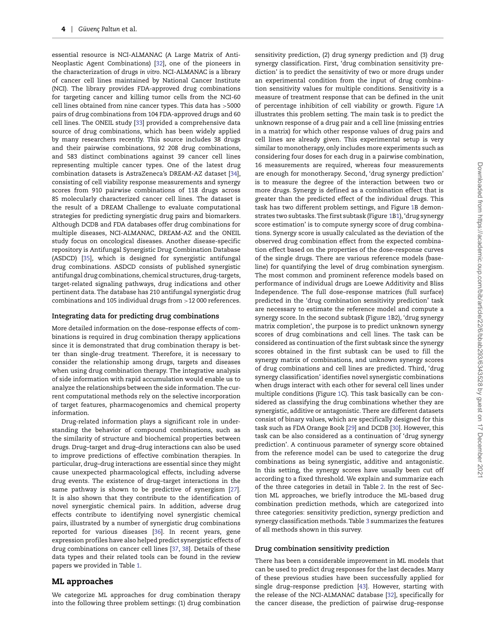essential resource is NCI-ALMANAC (A Large Matrix of Anti-Neoplastic Agent Combinations) [\[32\]](#page-15-10), one of the pioneers in the characterization of drugs *in vitro*. NCI-ALMANAC is a library of cancer cell lines maintained by National Cancer Institute (NCI). The library provides FDA-approved drug combinations for targeting cancer and killing tumor cells from the NCI-60 cell lines obtained from nine cancer types. This data has *>*5000 pairs of drug combinations from 104 FDA-approved drugs and 60 cell lines. The ONEIL study [\[33\]](#page-15-11) provided a comprehensive data source of drug combinations, which has been widely applied by many researchers recently. This source includes 38 drugs and their pairwise combinations, 92 208 drug combinations, and 583 distinct combinations against 39 cancer cell lines representing multiple cancer types. One of the latest drug combination datasets is AstraZeneca's DREAM-AZ dataset [\[34\]](#page-15-12), consisting of cell viability response measurements and synergy scores from 910 pairwise combinations of 118 drugs across 85 molecularly characterized cancer cell lines. The dataset is the result of a DREAM Challenge to evaluate computational strategies for predicting synergistic drug pairs and biomarkers. Although DCDB and FDA databases offer drug combinations for multiple diseases, NCI-ALMANAC, DREAM-AZ and the ONEIL study focus on oncological diseases. Another disease-specific repository is Antifungal Synergistic Drug Combination Database (ASDCD) [\[35\]](#page-15-13), which is designed for synergistic antifungal drug combinations. ASDCD consists of published synergistic antifungal drug combinations, chemical structures, drug-targets, target-related signaling pathways, drug indications and other pertinent data. The database has 210 antifungal synergistic drug combinations and 105 individual drugs from *>*12 000 references.

#### **Integrating data for predicting drug combinations**

More detailed information on the dose–response effects of combinations is required in drug combination therapy applications since it is demonstrated that drug combination therapy is better than single-drug treatment. Therefore, it is necessary to consider the relationship among drugs, targets and diseases when using drug combination therapy. The integrative analysis of side information with rapid accumulation would enable us to analyze the relationships between the side information. The current computational methods rely on the selective incorporation of target features, pharmacogenomics and chemical property information.

Drug-related information plays a significant role in understanding the behavior of compound combinations, such as the similarity of structure and biochemical properties between drugs. Drug–target and drug–drug interactions can also be used to improve predictions of effective combination therapies. In particular, drug–drug interactions are essential since they might cause unexpected pharmacological effects, including adverse drug events. The existence of drug–target interactions in the same pathway is shown to be predictive of synergism [\[27\]](#page-15-5). It is also shown that they contribute to the identification of novel synergistic chemical pairs. In addition, adverse drug effects contribute to identifying novel synergistic chemical pairs, illustrated by a number of synergistic drug combinations reported for various diseases [\[36\]](#page-15-14). In recent years, gene expression profiles have also helped predict synergistic effects of drug combinations on cancer cell lines [\[37,](#page-15-15) [38\]](#page-15-16). Details of these data types and their related tools can be found in the review papers we provided in Table [1.](#page-2-0)

# **ML approaches**

We categorize ML approaches for drug combination therapy into the following three problem settings: (1) drug combination sensitivity prediction, (2) drug synergy prediction and (3) drug synergy classification. First, 'drug combination sensitivity prediction' is to predict the sensitivity of two or more drugs under an experimental condition from the input of drug combination sensitivity values for multiple conditions. Sensitivity is a measure of treatment response that can be defined in the unit of percentage inhibition of cell viability or growth. Figure [1A](#page-8-0) illustrates this problem setting. The main task is to predict the unknown response of a drug pair and a cell line (missing entries in a matrix) for which other response values of drug pairs and cell lines are already given. This experimental setup is very similar to monotherapy, only includes more experiments such as considering four doses for each drug in a pairwise combination, 16 measurements are required, whereas four measurements are enough for monotherapy. Second, 'drug synergy prediction' is to measure the degree of the interaction between two or more drugs. Synergy is defined as a combination effect that is greater than the predicted effect of the individual drugs. This task has two different problem settings, and Figure [1B](#page-8-0) demonstrates two subtasks. The first subtask (Figure [1B1\)](#page-8-0), 'drug synergy score estimation' is to compute synergy score of drug combinations. Synergy score is usually calculated as the deviation of the observed drug combination effect from the expected combination effect based on the properties of the dose–response curves of the single drugs. There are various reference models (baseline) for quantifying the level of drug combination synergism. The most common and prominent reference models based on performance of individual drugs are Loewe Additivity and Bliss Independence. The full dose–response matrices (full surface) predicted in the 'drug combination sensitivity prediction' task are necessary to estimate the reference model and compute a synergy score. In the second subtask (Figure [1B](#page-8-0)2), 'drug synergy matrix completion', the purpose is to predict unknown synergy scores of drug combinations and cell lines. The task can be considered as continuation of the first subtask since the synergy scores obtained in the first subtask can be used to fill the synergy matrix of combinations, and unknown synergy scores of drug combinations and cell lines are predicted. Third, 'drug synergy classification' identifies novel synergistic combinations when drugs interact with each other for several cell lines under multiple conditions (Figure [1C](#page-8-0)). This task basically can be considered as classifying the drug combinations whether they are synergistic, additive or antagonistic. There are different datasets consist of binary values, which are specifically designed for this task such as FDA Orange Book [\[29\]](#page-15-7) and DCDB [\[30\]](#page-15-8). However, this task can be also considered as a continuation of 'drug synergy prediction'. A continuous parameter of synergy score obtained from the reference model can be used to categorize the drug combinations as being synergistic, additive and antagonistic. In this setting, the synergy scores have usually been cut off according to a fixed threshold. We explain and summarize each of the three categories in detail in Table [2.](#page-5-0) In the rest of Section ML approaches, we briefly introduce the ML-based drug combination prediction methods, which are categorized into three categories: sensitivity prediction, synergy prediction and synergy classification methods. Table [3](#page-6-0) summarizes the features of all methods shown in this survey.

#### **Drug combination sensitivity prediction**

There has been a considerable improvement in ML models that can be used to predict drug responses for the last decades. Many of these previous studies have been successfully applied for single drug–response prediction [\[43\]](#page-15-17). However, starting with the release of the NCI-ALMANAC database [\[32\]](#page-15-10), specifically for the cancer disease, the prediction of pairwise drug–response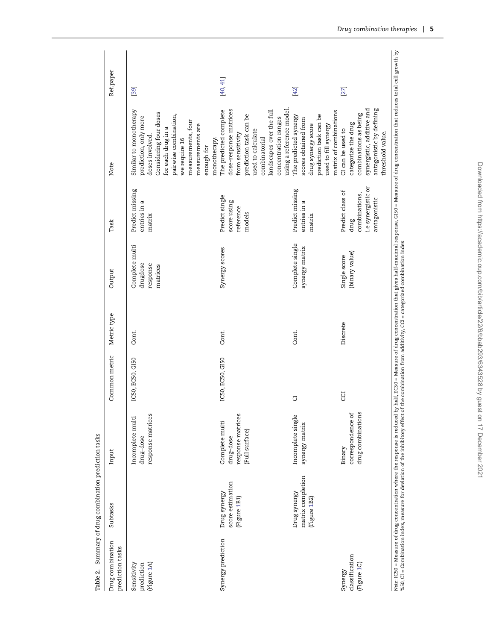| Drug combination<br>prediction tasks     | Subtasks                                          | Input                                                              | Common metric    | Metric type | Output                                             | Task                                                                            | Note                                                                                                                                                                                                                                | Ref.paper                                                                                                                                                                                                                                                                            |
|------------------------------------------|---------------------------------------------------|--------------------------------------------------------------------|------------------|-------------|----------------------------------------------------|---------------------------------------------------------------------------------|-------------------------------------------------------------------------------------------------------------------------------------------------------------------------------------------------------------------------------------|--------------------------------------------------------------------------------------------------------------------------------------------------------------------------------------------------------------------------------------------------------------------------------------|
|                                          |                                                   |                                                                    |                  |             |                                                    |                                                                                 |                                                                                                                                                                                                                                     |                                                                                                                                                                                                                                                                                      |
| (Figure 1A)<br>Sensitivity<br>prediction |                                                   | response matrices<br>Incomplete multi<br>drug-dose                 | IC50, EC50, GI50 | Cont.       | Complete multi<br>drugdose<br>response<br>matrices | Predict missing<br>entries in a<br>matrix                                       | Similar to monotherapy<br>Considering four doses<br>pairwise combination,<br>prediction, only more<br>measurements, four<br>measurements are<br>for each drug in a<br>doses involved<br>monotherapy.<br>we require 16<br>enough for | [39]                                                                                                                                                                                                                                                                                 |
| Synergy prediction                       | score estimation<br>Drug synergy<br>(Figure 1B1)  | response matrices<br>Complete multi<br>(Full surface)<br>drug-dose | IC50, EC50, GI50 | Cont.       | Synergy scores                                     | Predict single<br>score using<br>reference<br>models                            | The predicted complete<br>dose-response matrices<br>landscapes over the full<br>prediction task can be<br>concentration ranges<br>used to calculate<br>from sensitivity<br>combinatorial                                            | 40, 41                                                                                                                                                                                                                                                                               |
|                                          | matrix completion<br>Drug synergy<br>(Figure 1B2) | Incomplete single<br>synergy matrix                                | J                | Cont.       | Complete single<br>synergy matrix                  | Predict missing<br>entries in a<br>matrix                                       | prediction task can be<br>The predicted synergy<br>scores obtained from<br>drug synergy score<br>used to fill synergy                                                                                                               | 42                                                                                                                                                                                                                                                                                   |
| classification<br>(Figure 1C)<br>Synergy |                                                   | drug combinations<br>correspondence of<br>Binary                   | <b>US</b>        | Discrete    | (binary value)<br>Single score                     | i.e synergistic or<br>Predict class of<br>combinations,<br>antagonistic<br>drug | antagonistic by defining<br>synergistic, additive and<br>combinations as being<br>categorize the drug<br>CI can be used to<br>threshold value.                                                                                      | [27]                                                                                                                                                                                                                                                                                 |
|                                          |                                                   |                                                                    |                  |             |                                                    |                                                                                 |                                                                                                                                                                                                                                     | Note: IC50 = Measure of drug concentration where the response is reduced by half, EC50 = Measure of drug concentration that gives half-maximal response, GI50 = Measure of drug concentration that reduces total cell growth b<br>using a reference model.<br>matrix of combinations |

Note: IGS0 = Measure of drug concentration where the response the reduced by half, EGS0 = Measure of are assure of drug concentration that reduces total cell growth by Note: IC50 = Measure of drug concentration where the response is reduced by half, EC50 = Measure of drug concentration that gives half-maximal re<br>%50, CI = Combination index, measure for deviation of the inhibitory effect %50, CI = Combination index, measure for deviation of the inhibitory effect of the combination from additivity, CCI = categorized combination index

<span id="page-5-0"></span>Table 2. Summary of drug combination prediction tasks **Table 2.** Summary of drug combination prediction tasks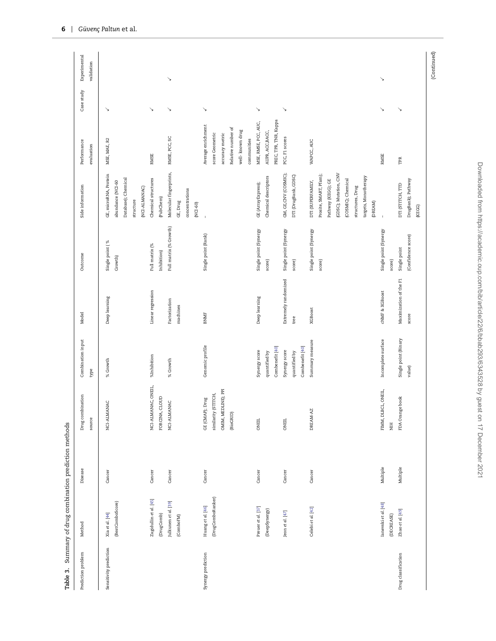|                        | Table 3. Summary of drug combination prediction methods |          |                      |                            |                           |                        |                         |                       |              |              |
|------------------------|---------------------------------------------------------|----------|----------------------|----------------------------|---------------------------|------------------------|-------------------------|-----------------------|--------------|--------------|
| Prediction problem     | Method                                                  | Disease  | Drug combination     | Combination input          | Model                     | Outcome                | Side information        | Performance           | Case study   | Experimental |
|                        |                                                         |          | source               | type                       |                           |                        |                         | evaluation            |              | validation   |
| Sensitivity prediction | Xia et al. [44]                                         | Cancer   | NCI-ALMANAC          | % Growth                   | Deep learning             | Single point (%        | GE, microRNA, Protein   | MSE, MAE, R2          | ↘            |              |
|                        | (BestComboScore)                                        |          |                      |                            |                           | Growth)                | abundance (NCI-60       |                       |              |              |
|                        |                                                         |          |                      |                            |                           |                        | Database); Chemical     |                       |              |              |
|                        |                                                         |          |                      |                            |                           |                        | structure               |                       |              |              |
|                        |                                                         |          |                      |                            |                           |                        | (NCI-ALMANAC)           |                       |              |              |
|                        | Zagidullin et al. [45]                                  | Cancer   | NCI-ALMANAC, ONEIL,  | %Inhibition                | Linear regression         | Full matrix (%         | Chemical structures     | <b>RMSE</b>           | $\checkmark$ |              |
|                        | (DrugComb)                                              |          | FORCINA, CLOUD       |                            |                           | Inhibition)            | (PubChem)               |                       |              |              |
|                        | Julkunen et al. [39]                                    | Cancer   | NCI-ALMANAC          | % Growth                   | Factorization             | Full matrix (% Growth) | Molecular fingerprints, | RMSE, PCC, SC         | ↘            | ↘            |
|                        | (ComboFM)                                               |          |                      |                            | machines                  |                        | GE, Drug                |                       |              |              |
|                        |                                                         |          |                      |                            |                           |                        | concentrations          |                       |              |              |
|                        |                                                         |          |                      |                            |                           |                        | $(NCI - 60)$            |                       |              |              |
| Synergy prediction     | Huang et al. [46]                                       | Cancer   | : Drug<br>GE (CMAP); | Genomic profile            | <b>BNMF</b>               | Single point (Rank)    |                         | Average enrichment    | $\checkmark$ |              |
|                        | (DrugComboRanker)                                       |          | similarity (STITCH,  |                            |                           |                        |                         | score Geometric       |              |              |
|                        |                                                         |          | OMIM, MEDLINE); PPI  |                            |                           |                        |                         | accuracy metric       |              |              |
|                        |                                                         |          | (BioGRID)            |                            |                           |                        |                         | Relative number of    |              |              |
|                        |                                                         |          |                      |                            |                           |                        |                         | well-known drug       |              |              |
|                        |                                                         |          |                      |                            |                           |                        |                         | communities           |              |              |
|                        | Preuer et al. [37]                                      | Cancer   | <b>ONEIL</b>         | Synergy score              | Deep learning             | Single point (Synergy  | GE (ArrayExpress);      | MSE, RMSE, PCC, AUC,  | ↘            |              |
|                        | (DeepSynergy)                                           |          |                      | quantified by              |                           | score)                 | Chemical descriptors    | AUPR, ACC, BACC,      |              |              |
|                        |                                                         |          |                      | Combenefit <sup>[40]</sup> |                           |                        |                         | PREC, TPR, TNR, Kappa |              |              |
|                        | Jeon et al. [47]                                        | Cancer   | <b>ONEIL</b>         | Synergy score              | Extremely randomized      | Single point (Synergy  | GM, GE, CNV (COSMIC);   | PCC, F1 scores        | $\searrow$   |              |
|                        |                                                         |          |                      | quantified by              | tree                      | score)                 | DTI (DrugBank, GDSC)    |                       |              |              |
|                        |                                                         |          |                      | Combenefit <sup>[40]</sup> |                           |                        |                         |                       |              |              |
|                        | Celebi et al. [42]                                      | Cancer   | DREAM-AZ             | Summary measure            | <b>XGBoost</b>            | Single point (Synergy  | DTI (SUPERFAMILY,       | WAPCC, AUC            |              |              |
|                        |                                                         |          |                      |                            |                           | score)                 | Prosite, SMART, Pfam);  |                       |              |              |
|                        |                                                         |          |                      |                            |                           |                        | Pathway (KEGG); GE      |                       |              |              |
|                        |                                                         |          |                      |                            |                           |                        | (GDSC); Mutation, CNV   |                       |              |              |
|                        |                                                         |          |                      |                            |                           |                        | (COSMIC); Chemical      |                       |              |              |
|                        |                                                         |          |                      |                            |                           |                        | structures, Drug        |                       |              |              |
|                        |                                                         |          |                      |                            |                           |                        | targets, Monotherapy    |                       |              |              |
|                        |                                                         |          |                      |                            |                           |                        | (DREAM)                 |                       |              |              |
|                        | Ianevski et al. [48]                                    | Multiple | FIMM, DLBCL, ONEIL,  | Incomplete surface         | <b>CNMF &amp; XGBoost</b> | Single point (Synergy  | $\overline{1}$          | <b>RMSE</b>           | $\checkmark$ | ↘            |
|                        | (DECREASE)                                              |          | $\Xi$                |                            |                           | score)                 |                         |                       |              |              |
| Drug classification    | Zhao et al. [49]                                        | Multiple | FDA Orange book      | Single point (Binary       | Maximization of the F1    | Single point           | DTI (STITCH, TTD        | TPR                   | ↘            |              |
|                        |                                                         |          |                      | value)                     | score                     | (Confidence score)     | DrugBank); Pathway      |                       |              |              |
|                        |                                                         |          |                      |                            |                           |                        | (KEGG)                  |                       |              |              |
|                        |                                                         |          |                      |                            |                           |                        |                         |                       |              |              |

<span id="page-6-0"></span>Table 3. Summary of drug combination prediction methods

(Continued) (Continued)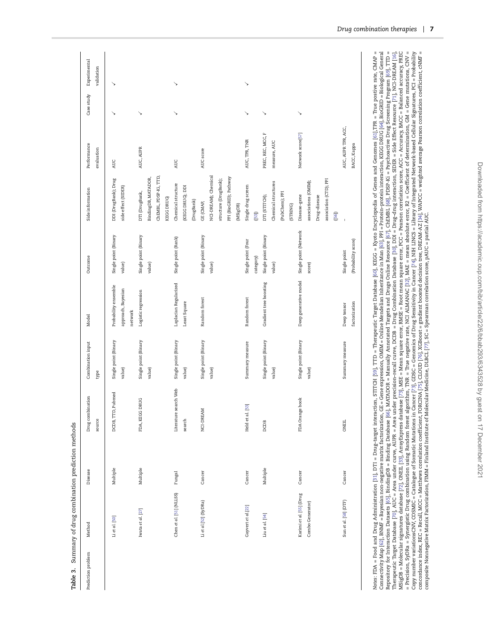|                    | chains in a stromagnet of the stromagnetic stromagnetic stromagnetic stromagnetic stromagnetic stromagnetic stromagnetic stromagnetic stromagnetic stromagnetic stromagnetic stromagnetic stromagnetic stromagnetic stromagnet |          |                          |                      |                        |                       |                        |                     |              |              |
|--------------------|--------------------------------------------------------------------------------------------------------------------------------------------------------------------------------------------------------------------------------|----------|--------------------------|----------------------|------------------------|-----------------------|------------------------|---------------------|--------------|--------------|
| Prediction problem | Method                                                                                                                                                                                                                         | Disease  | Drug combination         | Combination input    | <b>Model</b>           | Outcome               | Side information       | Performance         | Case study   | Experimental |
|                    |                                                                                                                                                                                                                                |          | source                   | type                 |                        |                       |                        | evaluation          |              | validation   |
|                    | Li et al. [50]                                                                                                                                                                                                                 | Multiple | DCDB, TTD, Pubmed        | Single point (Binary | Probability ensemble   | Single point (Binary  | DDI (DrugBank); Drug   | AUC                 | ↘            | ↘            |
|                    |                                                                                                                                                                                                                                |          |                          | value)               | approach, Bayesian     | value)                | side effect (SIDER)    |                     |              |              |
|                    |                                                                                                                                                                                                                                |          |                          |                      | network                |                       |                        |                     |              |              |
|                    | Iwata et al. [27]                                                                                                                                                                                                              | Multiple | FDA, KEGG DRUG           | Single point (Binary | Logistic regression    | Single point (Binary  | DTI (DrugBank,         | AUC, AUPR           | ↘            |              |
|                    |                                                                                                                                                                                                                                |          |                          | value)               |                        | value)                | BindingDB, MATADOR,    |                     |              |              |
|                    |                                                                                                                                                                                                                                |          |                          |                      |                        |                       | ChEMBL, PDSP-Ki, TTD,  |                     |              |              |
|                    |                                                                                                                                                                                                                                |          |                          |                      |                        |                       | KEGG DRUG)             |                     |              |              |
|                    | Chen et al. [51] (NLLSS)                                                                                                                                                                                                       | Fungal   | search Web<br>Literature | Single point (Binary | Laplacian Regularized  | Single point (Rank)   | Chemical structure     | AUC                 | $\checkmark$ | ↘            |
|                    |                                                                                                                                                                                                                                |          | search                   | value)               | Least Square           |                       | (KEGG DRUG); DDI       |                     |              |              |
|                    |                                                                                                                                                                                                                                |          |                          |                      |                        |                       | (DrugBank)             |                     |              |              |
|                    | Li et al.[52] (SyDRa)                                                                                                                                                                                                          | Cancer   | NCI-DREAM                | Single point (Binary | Random forest          | Single point (Binary  | GE (CMAP,              | AUC score           |              |              |
|                    |                                                                                                                                                                                                                                |          |                          | value)               |                        | value)                | NCI-DREAM); Chemical   |                     |              |              |
|                    |                                                                                                                                                                                                                                |          |                          |                      |                        |                       | structure (DrugBank);  |                     |              |              |
|                    |                                                                                                                                                                                                                                |          |                          |                      |                        |                       | PPI (BioGRID); Pathway |                     |              |              |
|                    |                                                                                                                                                                                                                                |          |                          |                      |                        |                       | (MSigDB)               |                     |              |              |
|                    | Gayvert et al.[22]                                                                                                                                                                                                             | Cancer   | $[53]$<br>Held et al.    | Summary measure      | Random forest          | Single point (Four    | Single drug screen     | AUC, TPR, TNR       | ↘            | ↘            |
|                    |                                                                                                                                                                                                                                |          |                          |                      |                        | category)             | (53)                   |                     |              |              |
|                    | Liu et al. [54]                                                                                                                                                                                                                | Multiple | DCDB                     | Single point (Binary | Gradient tree boosting | Single point (Binary  | DTI (STITCH);          | PREC, REC, MCC, F   | ↘            |              |
|                    |                                                                                                                                                                                                                                |          |                          | value)               |                        | value)                | Chemical structures    | measure, AUC        |              |              |
|                    |                                                                                                                                                                                                                                |          |                          |                      |                        |                       | (PubChem); PPI         |                     |              |              |
|                    |                                                                                                                                                                                                                                |          |                          |                      |                        |                       | (STRING)               |                     |              |              |
|                    | Karimi et al. [55] (Drug                                                                                                                                                                                                       | Cancer   | FDA Orange book          | Single point (Binary | Deep generative model  | Single point (Network | Disease-gene           | Network score[57]   | ↘            |              |
|                    | Combo Generator)                                                                                                                                                                                                               |          |                          | value)               |                        | score)                | associations (OMIM);   |                     |              |              |
|                    |                                                                                                                                                                                                                                |          |                          |                      |                        |                       | Drug-disease           |                     |              |              |
|                    |                                                                                                                                                                                                                                |          |                          |                      |                        |                       | association (CTD); PPI |                     |              |              |
|                    |                                                                                                                                                                                                                                |          |                          |                      |                        |                       | (56)                   |                     |              |              |
|                    | Sun et al. [58] (DTF)                                                                                                                                                                                                          | Cancer   | ONEIL                    | Summary measure      | Deep tensor            | Single point          |                        | AUC, AUPR TPR, ACC, |              |              |
|                    |                                                                                                                                                                                                                                |          |                          |                      | factorization          | (Probability score)   |                        | BACC, Kappa         |              |              |
|                    |                                                                                                                                                                                                                                |          |                          |                      |                        |                       |                        |                     |              |              |
|                    |                                                                                                                                                                                                                                |          |                          |                      |                        |                       |                        |                     |              |              |

Notes: EM = Food and Drug Administration [31], DTI = Drug-target interaction, STITCH [59], TTD = Therapeutic Taget Data Digital Explores (6), KEGC = Kyoto Encyclopedia of Genes and Genomes [61],ITR = The positve rate, CMAP *Notes*: FDA = Food and Drug Administration [\[31\]](#page-15-9), DTI = Drug–target interaction, STITCH [\[59\]](#page-15-37), TTD = Therapeutic Target Database [\[60\]](#page-15-38), KEGG = Kyoto Encyclopedia of Genes and Genomes [\[61\]](#page-15-39),TPR = True postive rate, CMAP = Connectivity Map [\[62\]](#page-16-0), BNMF = Bayesian non-negative matrix factorization, GE = Gene expression, OMIM = Online Mendelian Inheritance in Man [\[63\]](#page-16-1), PPI = Protein–protein interaction, KEGG DRUG [\[64\]](#page-16-2), BioGRID = Biological General Repository for Interaction Datasets [\[65\]](#page-16-3), BindingDB = Binding Database [\[66\]](#page-16-4), MATADOR = Manually Annotated Targets and Drugs Online Resource [\[67\]](#page-16-5), ChEMBL [\[68\]](#page-16-6), PDSP-Ki = Psychoactive Drug Screening Program [\[69\]](#page-16-7), TTD = Therapeutic Target Database [\[70\]](#page-16-8), AUC = Area under curve, AUPR = Area under precision–recall curve, DCDB = Drug Combination Database [\[30\]](#page-15-8), DDI = Drug-drug interaction, SIDER = Side Effect Resource [\[71\]](#page-16-9), NCI-DREAM [\[16\]](#page-14-15), MSigDB = Molecular signatures database [\[72\]](#page-16-10), ONEIL [\[33\]](#page-15-11), ArrayExpress database [\[73\]](#page-16-11), MSE = Mean square error, RMSE = Root mean square error, PCC = Pearson correlation score, ACC = Accuracy, BACC = Balanced accuracy, PREC = Precision, SyDRa = Synergistic Drug combination using Random forest algorithm, TNR = True negative rate, NCI ALMANAC [\[32\]](#page-15-10), MAE = mean absolute error, R2 = Coefficient of determination, GM = Gene mutations, CNV = Copy number variationsCNV, COSMIC = Catalogue of Somatic Mutations in Cancer [\[73\]](#page-16-11), GDSC = Genomics of Drug Sensitivity in Cancer [\[74\]](#page-16-12), NIH LINCS = Library of Integrated Network-based Cellular Signatures, PCI = Probability concordance index, REC = Recall, MCC = Matthews correlation coefficient, FORCINA [\[75\]](#page-16-13), CLOUD [\[76\]](#page-16-14), XGBoost = gradient boosted decision tree, DREAM-AZ [\[34\]](#page-15-12), WAPCC = weighted average Pearson correlation coefficient, cNMF = composite Nonnegative Matrix Factorization, FIMM = Finland Institute of Molecular Medicine, DLBCL [\[77\]](#page-16-15), SC = Spearman correlation score, pAUC = partial AUC.

Summary of drug combination prediction methods **Table 3.** Summary of drug combination prediction methods Table 3.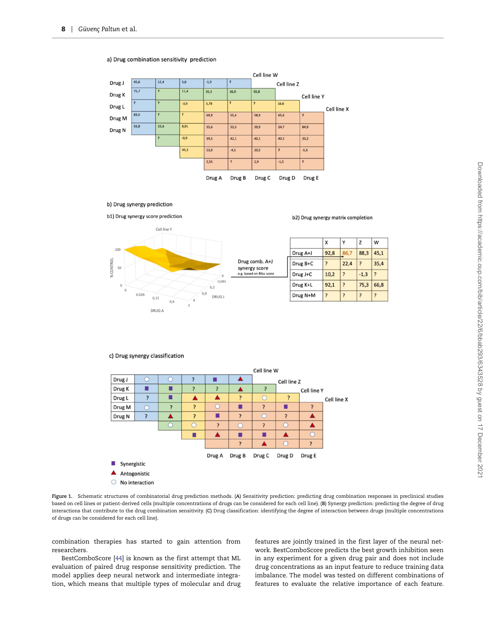

a) Drug combination sensitivity prediction

b) Drug synergy prediction b1) Drug synergy score prediction



|                            |          | X    | v    | Z      | W    |
|----------------------------|----------|------|------|--------|------|
|                            | Drug A+J | 92,8 | 86,7 | 88,3   | 45,1 |
| ug comb. A+J<br>ergy score | Drug B+C | ?    | 22,4 | ?      | 35,4 |
| based on Bliss score       | Drug J+C | 10,2 | ?    | $-1,3$ | ?    |
|                            | Drug K+L | 92,1 | P    | 75,3   | 66,8 |
|                            | Drug N+M | ?    |      | ?      |      |

b2) Drug synergy matrix completion

c) Drug synergy classification



<span id="page-8-0"></span>**Figure 1.** Schematic structures of combinatorial drug prediction methods. (**A**) Sensitivity prediction: predicting drug combination responses in preclinical studies based on cell lines or patient-derived cells (multiple concentrations of drugs can be considered for each cell line). (**B**) Synergy prediction: predicting the degree of drug interactions that contribute to the drug combination sensitivity. (**C**) Drug classification: identifying the degree of interaction between drugs (multiple concentrations of drugs can be considered for each cell line).

combination therapies has started to gain attention from researchers.

BestComboScore [\[44\]](#page-15-22) is known as the first attempt that ML evaluation of paired drug response sensitivity prediction. The model applies deep neural network and intermediate integration, which means that multiple types of molecular and drug features are jointly trained in the first layer of the neural network. BestComboScore predicts the best growth inhibition seen in any experiment for a given drug pair and does not include drug concentrations as an input feature to reduce training data imbalance. The model was tested on different combinations of features to evaluate the relative importance of each feature.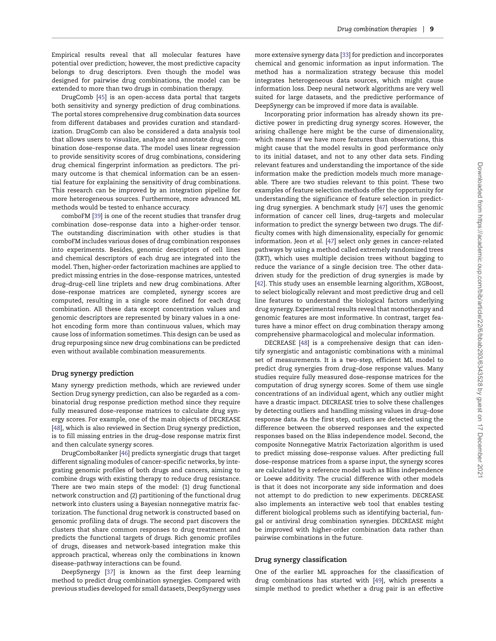Empirical results reveal that all molecular features have potential over prediction; however, the most predictive capacity belongs to drug descriptors. Even though the model was designed for pairwise drug combinations, the model can be extended to more than two drugs in combination therapy.

DrugComb [\[45\]](#page-15-23) is an open-access data portal that targets both sensitivity and synergy prediction of drug combinations. The portal stores comprehensive drug combination data sources from different databases and provides curation and standardization. DrugComb can also be considered a data analysis tool that allows users to visualize, analyze and annotate drug combination dose–response data. The model uses linear regression to provide sensitivity scores of drug combinations, considering drug chemical fingerprint information as predictors. The primary outcome is that chemical information can be an essential feature for explaining the sensitivity of drug combinations. This research can be improved by an integration pipeline for more heterogeneous sources. Furthermore, more advanced ML methods would be tested to enhance accuracy.

comboFM [\[39\]](#page-15-18) is one of the recent studies that transfer drug combination dose–response data into a higher-order tensor. The outstanding discrimination with other studies is that comboFM includes various doses of drug combination responses into experiments. Besides, genomic descriptors of cell lines and chemical descriptors of each drug are integrated into the model. Then, higher-order factorization machines are applied to predict missing entries in the dose–response matrices, untested drug–drug–cell line triplets and new drug combinations. After dose–response matrices are completed, synergy scores are computed, resulting in a single score defined for each drug combination. All these data except concentration values and genomic descriptors are represented by binary values in a onehot encoding form more than continuous values, which may cause loss of information sometimes. This design can be used as drug repurposing since new drug combinations can be predicted even without available combination measurements.

## **Drug synergy prediction**

Many synergy prediction methods, which are reviewed under Section Drug synergy prediction, can also be regarded as a combinatorial drug response prediction method since they require fully measured dose–response matrices to calculate drug synergy scores. For example, one of the main objects of DECREASE [\[48\]](#page-15-26), which is also reviewed in Section Drug synergy prediction, is to fill missing entries in the drug–dose response matrix first and then calculate synergy scores.

DrugComboRanker [\[46\]](#page-15-24) predicts synergistic drugs that target different signaling modules of cancer-specific networks, by integrating genomic profiles of both drugs and cancers, aiming to combine drugs with existing therapy to reduce drug resistance. There are two main steps of the model: (1) drug functional network construction and (2) partitioning of the functional drug network into clusters using a Bayesian nonnegative matrix factorization. The functional drug network is constructed based on genomic profiling data of drugs. The second part discovers the clusters that share common responses to drug treatment and predicts the functional targets of drugs. Rich genomic profiles of drugs, diseases and network-based integration make this approach practical, whereas only the combinations in known disease–pathway interactions can be found.

DeepSynergy [\[37\]](#page-15-15) is known as the first deep learning method to predict drug combination synergies. Compared with previous studies developed for small datasets, DeepSynergy uses more extensive synergy data [\[33\]](#page-15-11) for prediction and incorporates chemical and genomic information as input information. The method has a normalization strategy because this model integrates heterogeneous data sources, which might cause information loss. Deep neural network algorithms are very well suited for large datasets, and the predictive performance of DeepSynergy can be improved if more data is available.

Incorporating prior information has already shown its predictive power in predicting drug synergy scores. However, the arising challenge here might be the curse of dimensionality, which means if we have more features than observations, this might cause that the model results in good performance only to its initial dataset, and not to any other data sets. Finding relevant features and understanding the importance of the side information make the prediction models much more manageable. There are two studies relevant to this point. These two examples of feature selection methods offer the opportunity for understanding the significance of feature selection in predicting drug synergies. A benchmark study [\[47\]](#page-15-25) uses the genomic information of cancer cell lines, drug–targets and molecular information to predict the synergy between two drugs. The difficulty comes with high dimensionality, especially for genomic information. Jeon *et al*. [\[47\]](#page-15-25) select only genes in cancer-related pathways by using a method called extremely randomized trees (ERT), which uses multiple decision trees without bagging to reduce the variance of a single decision tree. The other datadriven study for the prediction of drug synergies is made by [\[42\]](#page-15-21). This study uses an ensemble learning algorithm, XGBoost, to select biologically relevant and most predictive drug and cell line features to understand the biological factors underlying drug synergy. Experimental results reveal that monotherapy and genomic features are most informative. In contrast, target features have a minor effect on drug combination therapy among comprehensive pharmacological and molecular information.

DECREASE [\[48\]](#page-15-26) is a comprehensive design that can identify synergistic and antagonistic combinations with a minimal set of measurements. It is a two-step, efficient ML model to predict drug synergies from drug–dose response values. Many studies require fully measured dose–response matrices for the computation of drug synergy scores. Some of them use single concentrations of an individual agent, which any outlier might have a drastic impact. DECREASE tries to solve these challenges by detecting outliers and handling missing values in drug–dose response data. As the first step, outliers are detected using the difference between the observed responses and the expected responses based on the Bliss independence model. Second, the composite Nonnegative Matrix Factorization algorithm is used to predict missing dose–response values. After predicting full dose–response matrices from a sparse input, the synergy scores are calculated by a reference model such as Bliss independence or Loewe additivity. The crucial difference with other models is that it does not incorporate any side information and does not attempt to do prediction to new experiments. DECREASE also implements an interactive web tool that enables testing different biological problems such as identifying bacterial, fungal or antiviral drug combination synergies. DECREASE might be improved with higher-order combination data rather than pairwise combinations in the future.

# **Drug synergy classification**

One of the earlier ML approaches for the classification of drug combinations has started with [\[49\]](#page-15-27), which presents a simple method to predict whether a drug pair is an effective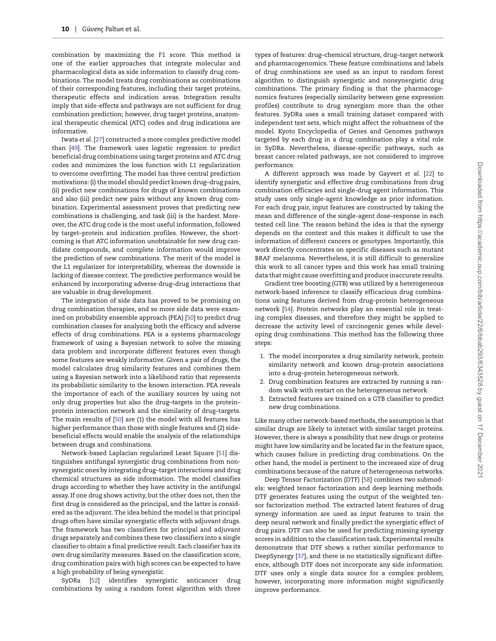combination by maximizing the F1 score. This method is one of the earlier approaches that integrate molecular and pharmacological data as side information to classify drug combinations. The model treats drug combinations as combinations of their corresponding features, including their target proteins, therapeutic effects and indication areas. Integration results imply that side-effects and pathways are not sufficient for drug combination prediction; however, drug target proteins, anatomical therapeutic chemical (ATC) codes and drug indications are informative.

Iwata *et al*. [\[27\]](#page-15-5) constructed a more complex predictive model than [\[49\]](#page-15-27). The framework uses logistic regression to predict beneficial drug combinations using target proteins and ATC drug codes and minimizes the loss function with L1 regularization to overcome overfitting. The model has three central prediction motivations: (i) the model should predict known drug–drug pairs, (ii) predict new combinations for drugs of known combinations and also (iii) predict new pairs without any known drug combination. Experimental assessment proves that predicting new combinations is challenging, and task (iii) is the hardest. Moreover, the ATC drug code is the most useful information, followed by target–protein and indication profiles. However, the shortcoming is that ATC information unobtainable for new drug candidate compounds, and complete information would improve the prediction of new combinations. The merit of the model is the L1 regularizer for interpretability, whereas the downside is lacking of disease context. The predictive performance would be enhanced by incorporating adverse drug–drug interactions that are valuable in drug development.

The integration of side data has proved to be promising on drug combination therapies, and so more side data were examined on probability ensemble approach (PEA) [\[50\]](#page-15-28) to predict drug combination classes for analyzing both the efficacy and adverse effects of drug combinations. PEA is a systems pharmacology framework of using a Bayesian network to solve the missing data problem and incorporate different features even though some features are weakly informative. Given a pair of drugs, the model calculates drug similarity features and combines them using a Bayesian network into a likelihood ratio that represents its probabilistic similarity to the known interaction. PEA reveals the importance of each of the auxiliary sources by using not only drug properties but also the drug–targets in the protein– protein interaction network and the similarity of drug–targets. The main results of [\[50\]](#page-15-28) are (1) the model with all features has higher performance than those with single features and (2) sidebeneficial effects would enable the analysis of the relationships between drugs and combinations.

Network-based Laplacian regularized Least Square [\[51\]](#page-15-29) distinguishes antifungal synergistic drug combinations from nonsynergistic ones by integrating drug–target interactions and drug chemical structures as side information. The model classifies drugs according to whether they have activity in the antifungal assay. If one drug shows activity, but the other does not, then the first drug is considered as the principal, and the latter is considered as the adjuvant. The idea behind the model is that principal drugs often have similar synergistic effects with adjuvant drugs. The framework has two classifiers for principal and adjuvant drugs separately and combines these two classifiers into a single classifier to obtain a final predictive result. Each classifier has its own drug similarity measures. Based on the classification score, drug combination pairs with high scores can be expected to have a high probability of being synergistic.

SyDRa [\[52\]](#page-15-30) identifies synergistic anticancer drug combinations by using a random forest algorithm with three types of features: drug–chemical structure, drug–target network and pharmacogenomics. These feature combinations and labels of drug combinations are used as an input to random forest algorithm to distinguish synergistic and nonsynergistic drug combinations. The primary finding is that the pharmacogenomics features (especially similarity between gene expression profiles) contribute to drug synergism more than the other features. SyDRa uses a small training dataset compared with independent test sets, which might affect the robustness of the model. Kyoto Encyclopedia of Genes and Genomes pathways targeted by each drug in a drug combination play a vital role in SyDRa. Nevertheless, disease-specific pathways, such as breast cancer-related pathways, are not considered to improve performance.

A different approach was made by Gayvert *et al*. [\[22\]](#page-15-0) to identify synergistic and effective drug combinations from drug combination efficacies and single-drug agent information. This study uses only single-agent knowledge as prior information. For each drug pair, input features are constructed by taking the mean and difference of the single-agent dose–response in each tested cell line. The reason behind the idea is that the synergy depends on the context and this makes it difficult to use the information of different cancers or genotypes. Importantly, this work directly concentrates on specific diseases such as mutant BRAF melanoma. Nevertheless, it is still difficult to generalize this work to all cancer types and this work has small training data that might cause overfitting and produce inaccurate results.

Gradient tree boosting (GTB) was utilized by a heterogeneous network-based inference to classify efficacious drug combinations using features derived from drug–protein heterogeneous network [\[54\]](#page-15-32). Protein networks play an essential role in treating complex diseases, and therefore they might be applied to decrease the activity level of carcinogenic genes while developing drug combinations. This method has the following three steps:

- 1. The model incorporates a drug similarity network, protein similarity network and known drug–protein associations into a drug–protein heterogeneous network.
- 2. Drug combination features are extracted by running a random walk with restart on the heterogeneous network.
- 3. Extracted features are trained on a GTB classifier to predict new drug combinations.

Like many other network-based methods, the assumption is that similar drugs are likely to interact with similar target proteins. However, there is always a possibility that new drugs or proteins might have low similarity and be located far in the feature space, which causes failure in predicting drug combinations. On the other hand, the model is pertinent to the increased size of drug combinations because of the nature of heterogeneous networks.

Deep Tensor Factorization (DTF) [\[58\]](#page-15-36) combines two submodels: weighted tensor factorization and deep learning methods. DTF generates features using the output of the weighted tensor factorization method. The extracted latent features of drug synergy information are used as input features to train the deep neural network and finally predict the synergistic effect of drug pairs. DTF can also be used for predicting missing synergy scores in addition to the classification task. Experimental results demonstrate that DTF shows a rather similar performance to DeepSynergy [\[37\]](#page-15-15), and there is no statistically significant difference, although DTF does not incorporate any side information. DTF uses only a single data source for a complex problem; however, incorporating more information might significantly improve performance.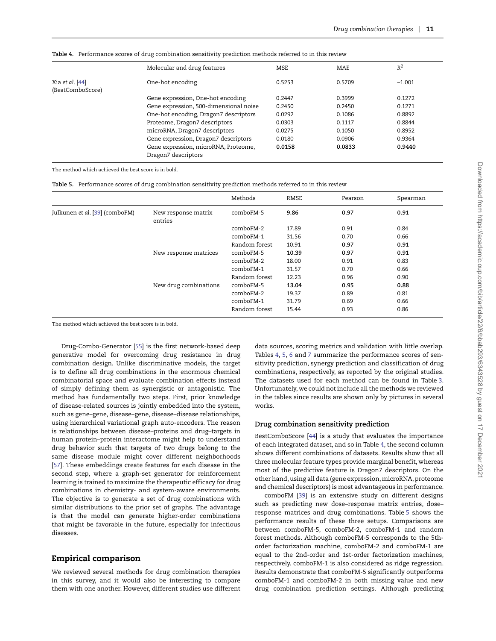|                                     | Molecular and drug features                                 | <b>MSE</b> | <b>MAE</b> | $R^2$    |
|-------------------------------------|-------------------------------------------------------------|------------|------------|----------|
| Xia et al. [44]<br>(BestComboScore) | One-hot encoding                                            | 0.5253     | 0.5709     | $-1.001$ |
|                                     | Gene expression, One-hot encoding                           | 0.2447     | 0.3999     | 0.1272   |
|                                     | Gene expression, 500-dimensional noise                      | 0.2450     | 0.2450     | 0.1271   |
|                                     | One-hot encoding, Dragon7 descriptors                       | 0.0292     | 0.1086     | 0.8892   |
|                                     | Proteome, Dragon7 descriptors                               | 0.0303     | 0.1117     | 0.8844   |
|                                     | microRNA, Dragon7 descriptors                               | 0.0275     | 0.1050     | 0.8952   |
|                                     | Gene expression, Dragon7 descriptors                        | 0.0180     | 0.0906     | 0.9364   |
|                                     | Gene expression, microRNA, Proteome,<br>Dragon7 descriptors | 0.0158     | 0.0833     | 0.9440   |

<span id="page-11-0"></span>**Table 4.** Performance scores of drug combination sensitivity prediction methods referred to in this review

The method which achieved the best score is in bold.

<span id="page-11-1"></span>**Table 5.** Performance scores of drug combination sensitivity prediction methods referred to in this review

|                                |                                | Methods       | <b>RMSE</b> | Pearson | Spearman |
|--------------------------------|--------------------------------|---------------|-------------|---------|----------|
| Julkunen et al. [39] (comboFM) | New response matrix<br>entries | comboFM-5     | 9.86        | 0.97    | 0.91     |
|                                |                                | comboFM-2     | 17.89       | 0.91    | 0.84     |
|                                |                                | comboFM-1     | 31.56       | 0.70    | 0.66     |
|                                |                                | Random forest | 10.91       | 0.97    | 0.91     |
|                                | New response matrices          | comboFM-5     | 10.39       | 0.97    | 0.91     |
|                                |                                | comboFM-2     | 18.00       | 0.91    | 0.83     |
|                                |                                | comboFM-1     | 31.57       | 0.70    | 0.66     |
|                                |                                | Random forest | 12.23       | 0.96    | 0.90     |
|                                | New drug combinations          | comboFM-5     | 13.04       | 0.95    | 0.88     |
|                                |                                | comboFM-2     | 19.37       | 0.89    | 0.81     |
|                                |                                | comboFM-1     | 31.79       | 0.69    | 0.66     |
|                                |                                | Random forest | 15.44       | 0.93    | 0.86     |

The method which achieved the best score is in bold.

Drug-Combo-Generator [\[55\]](#page-15-33) is the first network-based deep generative model for overcoming drug resistance in drug combination design. Unlike discriminative models, the target is to define all drug combinations in the enormous chemical combinatorial space and evaluate combination effects instead of simply defining them as synergistic or antagonistic. The method has fundamentally two steps. First, prior knowledge of disease-related sources is jointly embedded into the system, such as gene–gene, disease–gene, disease–disease relationships, using hierarchical variational graph auto-encoders. The reason is relationships between disease–proteins and drug–targets in human protein–protein interactome might help to understand drug behavior such that targets of two drugs belong to the same disease module might cover different neighborhoods [\[57\]](#page-15-35). These embeddings create features for each disease in the second step, where a graph-set generator for reinforcement learning is trained to maximize the therapeutic efficacy for drug combinations in chemistry- and system-aware environments. The objective is to generate a set of drug combinations with similar distributions to the prior set of graphs. The advantage is that the model can generate higher-order combinations that might be favorable in the future, especially for infectious diseases.

# **Empirical comparison**

We reviewed several methods for drug combination therapies in this survey, and it would also be interesting to compare them with one another. However, different studies use different data sources, scoring metrics and validation with little overlap. Tables [4,](#page-11-0) [5,](#page-11-1) [6](#page-12-0) and [7](#page-12-1) summarize the performance scores of sensitivity prediction, synergy prediction and classification of drug combinations, respectively, as reported by the original studies. The datasets used for each method can be found in Table [3.](#page-6-0) Unfortunately, we could not include all the methods we reviewed in the tables since results are shown only by pictures in several works.

#### **Drug combination sensitivity prediction**

BestComboScore [\[44\]](#page-15-22) is a study that evaluates the importance of each integrated dataset, and so in Table [4,](#page-11-0) the second column shows different combinations of datasets. Results show that all three molecular feature types provide marginal benefit, whereas most of the predictive feature is Dragon7 descriptors. On the other hand, using all data (gene expression,microRNA, proteome and chemical descriptors) is most advantageous in performance.

comboFM [\[39\]](#page-15-18) is an extensive study on different designs such as predicting new dose–response matrix entries, dose– response matrices and drug combinations. Table [5](#page-11-1) shows the performance results of these three setups. Comparisons are between comboFM-5, comboFM-2, comboFM-1 and random forest methods. Although comboFM-5 corresponds to the 5thorder factorization machine, comboFM-2 and comboFM-1 are equal to the 2nd-order and 1st-order factorization machines, respectively. comboFM-1 is also considered as ridge regression. Results demonstrate that comboFM-5 significantly outperforms comboFM-1 and comboFM-2 in both missing value and new drug combination prediction settings. Although predicting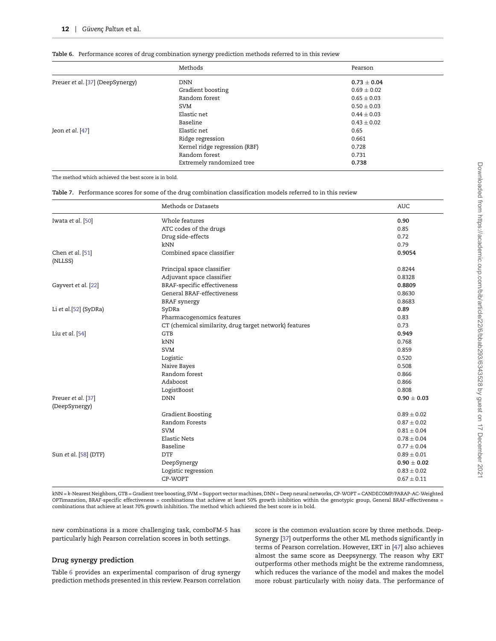|                                  | Methods                       | Pearson         |
|----------------------------------|-------------------------------|-----------------|
| Preuer et al. [37] (DeepSynergy) | <b>DNN</b>                    | $0.73 \pm 0.04$ |
|                                  | Gradient boosting             | $0.69 \pm 0.02$ |
|                                  | Random forest                 | $0.65 \pm 0.03$ |
|                                  | <b>SVM</b>                    | $0.50 \pm 0.03$ |
|                                  | Elastic net                   | $0.44 \pm 0.03$ |
|                                  | Baseline                      | $0.43 \pm 0.02$ |
| Jeon et al. [47]                 | Elastic net                   | 0.65            |
|                                  | Ridge regression              | 0.661           |
|                                  | Kernel ridge regression (RBF) | 0.728           |
|                                  | Random forest                 | 0.731           |
|                                  | Extremely randomized tree     | 0.738           |

<span id="page-12-0"></span>**Table 6.** Performance scores of drug combination synergy prediction methods referred to in this review

The method which achieved the best score is in bold.

<span id="page-12-1"></span>

| Table 7. Performance scores for some of the drug combination classification models referred to in this review |  |
|---------------------------------------------------------------------------------------------------------------|--|
|---------------------------------------------------------------------------------------------------------------|--|

|                             | Methods or Datasets                                    | <b>AUC</b>      |
|-----------------------------|--------------------------------------------------------|-----------------|
| Iwata et al. [50]           | Whole features                                         | 0.90            |
|                             | ATC codes of the drugs                                 | 0.85            |
|                             | Drug side-effects                                      | 0.72            |
|                             | kNN                                                    | 0.79            |
| Chen et al. [51]<br>(NLLSS) | Combined space classifier                              | 0.9054          |
|                             | Principal space classifier                             | 0.8244          |
|                             | Adjuvant space classifier                              | 0.8328          |
| Gayvert et al. [22]         | <b>BRAF-specific effectiveness</b>                     | 0.8809          |
|                             | General BRAF-effectiveness                             | 0.8630          |
|                             | <b>BRAF</b> synergy                                    | 0.8683          |
| Li et al.[52] (SyDRa)       | SyDRa                                                  | 0.89            |
|                             | Pharmacogenomics features                              | 0.83            |
|                             | CT (chemical similarity, drug target network) features | 0.73            |
| Liu et al. [54]             | <b>GTB</b>                                             | 0.949           |
|                             | kNN                                                    | 0.768           |
|                             | <b>SVM</b>                                             | 0.859           |
|                             | Logistic                                               | 0.520           |
|                             | Naive Bayes                                            | 0.508           |
|                             | Random forest                                          | 0.866           |
|                             | Adaboost                                               | 0.866           |
|                             | LogistBoost                                            | 0.808           |
| Preuer et al. [37]          | <b>DNN</b>                                             | $0.90 \pm 0.03$ |
| (DeepSynergy)               |                                                        |                 |
|                             | Gradient Boosting                                      | $0.89 \pm 0.02$ |
|                             | Random Forests                                         | $0.87 \pm 0.02$ |
|                             | <b>SVM</b>                                             | $0.81 \pm 0.04$ |
|                             | <b>Elastic Nets</b>                                    | $0.78 \pm 0.04$ |
|                             | Baseline                                               | $0.77 \pm 0.04$ |
| Sun et al. [58] (DTF)       | <b>DTF</b>                                             | $0.89 \pm 0.01$ |
|                             | DeepSynergy                                            | $0.90 \pm 0.02$ |
|                             | Logistic regression                                    | $0.83 \pm 0.02$ |
|                             | CP-WOPT                                                | $0.67 \pm 0.11$ |

kNN = *k*-Nearest Neighbors, GTB = Gradient tree boosting, SVM = Support vector machines, DNN = Deep neural networks, CP-WOPT = CANDECOMP/PARAP-AC-Weighted OPTimazation, BRAF-specific effectiveness = combinations that achieve at least 50% growth inhibition within the genotypic group, General BRAF-effectiveness = combinations that achieve at least 70% growth inhibition. The method which achieved the best score is in bold.

new combinations is a more challenging task, comboFM-5 has particularly high Pearson correlation scores in both settings.

# **Drug synergy prediction**

Table [6](#page-12-0) provides an experimental comparison of drug synergy prediction methods presented in this review. Pearson correlation score is the common evaluation score by three methods. Deep-Synergy [\[37\]](#page-15-15) outperforms the other ML methods significantly in terms of Pearson correlation. However, ERT in [\[47\]](#page-15-25) also achieves almost the same score as Deepsynergy. The reason why ERT outperforms other methods might be the extreme randomness, which reduces the variance of the model and makes the model more robust particularly with noisy data. The performance of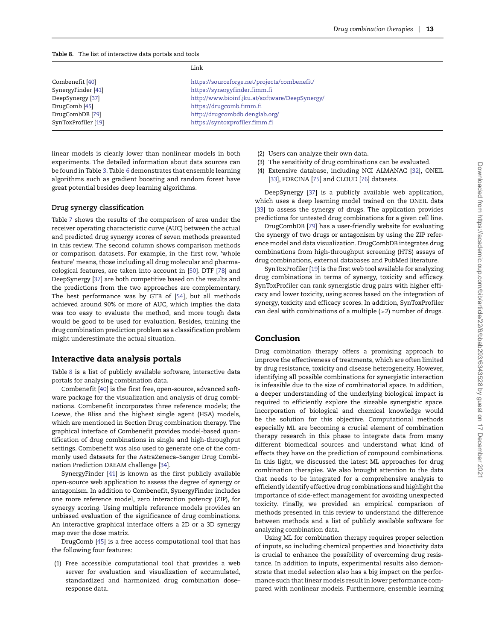<span id="page-13-0"></span>**Table 8.** The list of interactive data portals and tools

|                     | Link                                           |
|---------------------|------------------------------------------------|
| Combenefit [40]     | https://sourceforge.net/projects/combenefit/   |
| SynergyFinder [41]  | https://synergyfinder.fimm.fi                  |
| DeepSynergy [37]    | http://www.bioinf.jku.at/software/DeepSynergy/ |
| DrugComb [45]       | https://drugcomb.fimm.fi                       |
| DrugCombDB [79]     | http://drugcombdb.denglab.org/                 |
| SynToxProfiler [19] | https://syntoxprofiler.fimm.fi                 |

linear models is clearly lower than nonlinear models in both experiments. The detailed information about data sources can be found in Table [3.](#page-6-0) Table [6](#page-12-0) demonstrates that ensemble learning algorithms such as gradient boosting and random forest have great potential besides deep learning algorithms.

#### **Drug synergy classification**

Table [7](#page-12-1) shows the results of the comparison of area under the receiver operating characteristic curve (AUC) between the actual and predicted drug synergy scores of seven methods presented in this review. The second column shows comparison methods or comparison datasets. For example, in the first row, 'whole feature' means, those including all drug molecular and pharmacological features, are taken into account in [\[50\]](#page-15-28). DTF [\[78\]](#page-16-17) and DeepSynergy [\[37\]](#page-15-15) are both competitive based on the results and the predictions from the two approaches are complementary. The best performance was by GTB of [\[54\]](#page-15-32), but all methods achieved around 90% or more of AUC, which implies the data was too easy to evaluate the method, and more tough data would be good to be used for evaluation. Besides, training the drug combination prediction problem as a classification problem might underestimate the actual situation.

#### **Interactive data analysis portals**

Table [8](#page-13-0) is a list of publicly available software, interactive data portals for analysing combination data.

Combenefit [\[40\]](#page-15-19) is the first free, open-source, advanced software package for the visualization and analysis of drug combinations. Combenefit incorporates three reference models; the Loewe, the Bliss and the highest single agent (HSA) models, which are mentioned in Section Drug combination therapy. The graphical interface of Combenefit provides model-based quantification of drug combinations in single and high-throughput settings. Combenefit was also used to generate one of the commonly used datasets for the AstraZeneca–Sanger Drug Combination Prediction DREAM challenge [\[34\]](#page-15-12).

SynergyFinder [\[41\]](#page-15-20) is known as the first publicly available open-source web application to assess the degree of synergy or antagonism. In addition to Combenefit, SynergyFinder includes one more reference model, zero interaction potency (ZIP), for synergy scoring. Using multiple reference models provides an unbiased evaluation of the significance of drug combinations. An interactive graphical interface offers a 2D or a 3D synergy map over the dose matrix.

DrugComb [\[45\]](#page-15-23) is a free access computational tool that has the following four features:

(1) Free accessible computational tool that provides a web server for evaluation and visualization of accumulated, standardized and harmonized drug combination dose– response data.

- (2) Users can analyze their own data.
- (3) The sensitivity of drug combinations can be evaluated.
- (4) Extensive database, including NCI ALMANAC [\[32\]](#page-15-10), ONEIL [\[33\]](#page-15-11), FORCINA [\[75\]](#page-16-13) and CLOUD [\[76\]](#page-16-14) datasets.

DeepSynergy [\[37\]](#page-15-15) is a publicly available web application, which uses a deep learning model trained on the ONEIL data [\[33\]](#page-15-11) to assess the synergy of drugs. The application provides predictions for untested drug combinations for a given cell line.

DrugCombDB [\[79\]](#page-16-16) has a user-friendly website for evaluating the synergy of two drugs or antagonism by using the ZIP reference model and data visualization. DrugCombDB integrates drug combinations from high-throughput screening (HTS) assays of drug combinations, external databases and PubMed literature.

SynToxProfiler [\[19\]](#page-14-18) is the first web tool available for analyzing drug combinations in terms of synergy, toxicity and efficacy. SynToxProfiler can rank synergistic drug pairs with higher efficacy and lower toxicity, using scores based on the integration of synergy, toxicity and efficacy scores. In addition, SynToxProfiler can deal with combinations of a multiple (*>*2) number of drugs.

# **Conclusion**

Drug combination therapy offers a promising approach to improve the effectiveness of treatments, which are often limited by drug resistance, toxicity and disease heterogeneity. However, identifying all possible combinations for synergistic interaction is infeasible due to the size of combinatorial space. In addition, a deeper understanding of the underlying biological impact is required to efficiently explore the sizeable synergistic space. Incorporation of biological and chemical knowledge would be the solution for this objective. Computational methods especially ML are becoming a crucial element of combination therapy research in this phase to integrate data from many different biomedical sources and understand what kind of effects they have on the prediction of compound combinations. In this light, we discussed the latest ML approaches for drug combination therapies. We also brought attention to the data that needs to be integrated for a comprehensive analysis to efficiently identify effective drug combinations and highlight the importance of side-effect management for avoiding unexpected toxicity. Finally, we provided an empirical comparison of methods presented in this review to understand the difference between methods and a list of publicly available software for analyzing combination data.

Using ML for combination therapy requires proper selection of inputs, so including chemical properties and bioactivity data is crucial to enhance the possibility of overcoming drug resistance. In addition to inputs, experimental results also demonstrate that model selection also has a big impact on the performance such that linear models result in lower performance compared with nonlinear models. Furthermore, ensemble learning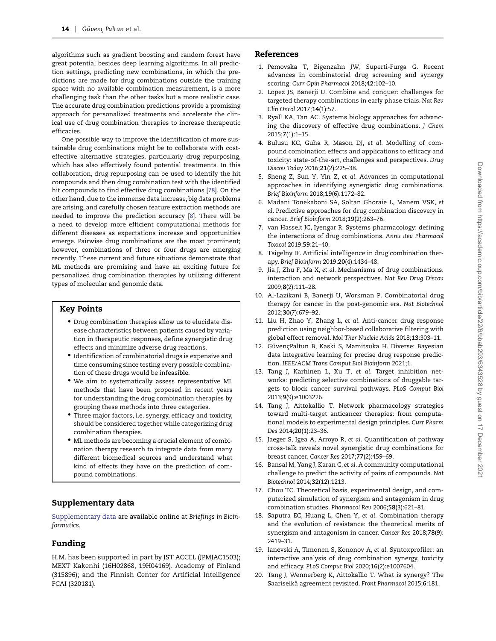algorithms such as gradient boosting and random forest have great potential besides deep learning algorithms. In all prediction settings, predicting new combinations, in which the predictions are made for drug combinations outside the training space with no available combination measurement, is a more challenging task than the other tasks but a more realistic case. The accurate drug combination predictions provide a promising approach for personalized treatments and accelerate the clinical use of drug combination therapies to increase therapeutic efficacies.

One possible way to improve the identification of more sustainable drug combinations might be to collaborate with costeffective alternative strategies, particularly drug repurposing, which has also effectively found potential treatments. In this collaboration, drug repurposing can be used to identify the hit compounds and then drug combination test with the identified hit compounds to find effective drug combinations [\[78\]](#page-16-17). On the other hand, due to the immense data increase, big data problems are arising, and carefully chosen feature extraction methods are needed to improve the prediction accuracy [\[8\]](#page-14-5). There will be a need to develop more efficient computational methods for different diseases as expectations increase and opportunities emerge. Pairwise drug combinations are the most prominent; however, combinations of three or four drugs are emerging recently. These current and future situations demonstrate that ML methods are promising and have an exciting future for personalized drug combination therapies by utilizing different types of molecular and genomic data.

## **Key Points**

- Drug combination therapies allow us to elucidate disease characteristics between patients caused by variation in therapeutic responses, define synergistic drug effects and minimize adverse drug reactions.
- Identification of combinatorial drugs is expensive and time consuming since testing every possible combination of these drugs would be infeasible.
- We aim to systematically assess representative ML methods that have been proposed in recent years for understanding the drug combination therapies by grouping these methods into three categories.
- Three major factors, i.e. synergy, efficacy and toxicity, should be considered together while categorizing drug combination therapies.
- ML methods are becoming a crucial element of combination therapy research to integrate data from many different biomedical sources and understand what kind of effects they have on the prediction of compound combinations.

# **Supplementary data**

[Supplementary data](https://academic.oup.com/bib/article-lookup/doi/10.1093/bib/bbab293#supplementary-data) are available online at *Briefings in Bioinformatics*.

# **Funding**

H.M. has been supported in part by JST ACCEL (JPMJAC1503); MEXT Kakenhi (16H02868, 19H04169). Academy of Finland (315896); and the Finnish Center for Artificial Intelligence FCAI (320181).

# **References**

- <span id="page-14-6"></span>1. Pemovska T, Bigenzahn JW, Superti-Furga G. Recent advances in combinatorial drug screening and synergy scoring. *Curr Opin Pharmacol* 2018;**42**:102–10.
- <span id="page-14-7"></span>2. Lopez JS, Banerji U. Combine and conquer: challenges for targeted therapy combinations in early phase trials. *Nat Rev Clin Oncol* 2017;**14**(1):57.
- <span id="page-14-0"></span>3. Ryall KA, Tan AC. Systems biology approaches for advancing the discovery of effective drug combinations. *J Chem* 2015;**7**(1):1–15.
- <span id="page-14-1"></span>4. Bulusu KC, Guha R, Mason DJ, *et al.* Modelling of compound combination effects and applications to efficacy and toxicity: state-of-the-art, challenges and perspectives. *Drug Discov Today* 2016;**21**(2):225–38.
- <span id="page-14-2"></span>5. Sheng Z, Sun Y, Yin Z, *et al.* Advances in computational approaches in identifying synergistic drug combinations. *Brief Bioinform* 2018;**19**(6):1172–82.
- <span id="page-14-3"></span>6. Madani Tonekaboni SA, Soltan Ghoraie L, Manem VSK, *et al.* Predictive approaches for drug combination discovery in cancer. *Brief Bioinform* 2018;**19**(2):263–76.
- <span id="page-14-4"></span>7. van Hasselt JC, Iyengar R. Systems pharmacology: defining the interactions of drug combinations. *Annu Rev Pharmacol Toxicol* 2019;**59**:21–40.
- <span id="page-14-5"></span>8. Tsigelny IF. Artificial intelligence in drug combination therapy. *Brief Bioinform* 2019;**20**(4):1434–48.
- <span id="page-14-8"></span>9. Jia J, Zhu F, Ma X, *et al.* Mechanisms of drug combinations: interaction and network perspectives. *Nat Rev Drug Discov* 2009;**8**(2):111–28.
- <span id="page-14-9"></span>10. Al-Lazikani B, Banerji U, Workman P. Combinatorial drug therapy for cancer in the post-genomic era. *Nat Biotechnol* 2012;**30**(7):679–92.
- <span id="page-14-10"></span>11. Liu H, Zhao Y, Zhang L, *et al.* Anti-cancer drug response prediction using neighbor-based collaborative filtering with global effect removal. *Mol Ther Nucleic Acids* 2018;**13**:303–11.
- <span id="page-14-11"></span>12. GüvençPaltun B, Kaski S, Mamitsuka H. Diverse: Bayesian data integrative learning for precise drug response prediction. *IEEE/ACM Trans Comput Biol Bioinform* 2021;1.
- <span id="page-14-12"></span>13. Tang J, Karhinen L, Xu T, *et al.* Target inhibition networks: predicting selective combinations of druggable targets to block cancer survival pathways. *PLoS Comput Biol* 2013;**9**(9):e1003226.
- <span id="page-14-13"></span>14. Tang J, Aittokallio T. Network pharmacology strategies toward multi-target anticancer therapies: from computational models to experimental design principles. *Curr Pharm Des* 2014;**20**(1):23–36.
- <span id="page-14-14"></span>15. Jaeger S, Igea A, Arroyo R, *et al.* Quantification of pathway cross-talk reveals novel synergistic drug combinations for breast cancer. *Cancer Res* 2017;**77**(2):459–69.
- <span id="page-14-15"></span>16. Bansal M, Yang J, Karan C, *et al.* A community computational challenge to predict the activity of pairs of compounds. *Nat Biotechnol* 2014;**32**(12):1213.
- <span id="page-14-16"></span>17. Chou TC. Theoretical basis, experimental design, and computerized simulation of synergism and antagonism in drug combination studies. *Pharmacol Rev* 2006;**58**(3):621–81.
- <span id="page-14-17"></span>18. Saputra EC, Huang L, Chen Y, *et al.* Combination therapy and the evolution of resistance: the theoretical merits of synergism and antagonism in cancer. *Cancer Res* 2018;**78**(9): 2419–31.
- <span id="page-14-18"></span>19. Ianevski A, Timonen S, Kononov A, *et al.* Syntoxprofiler: an interactive analysis of drug combination synergy, toxicity and efficacy. *PLoS Comput Biol* 2020;**16**(2):e1007604.
- <span id="page-14-19"></span>20. Tang J, Wennerberg K, Aittokallio T. What is synergy? The Saariselkä agreement revisited. *Front Pharmacol* 2015;**6**:181.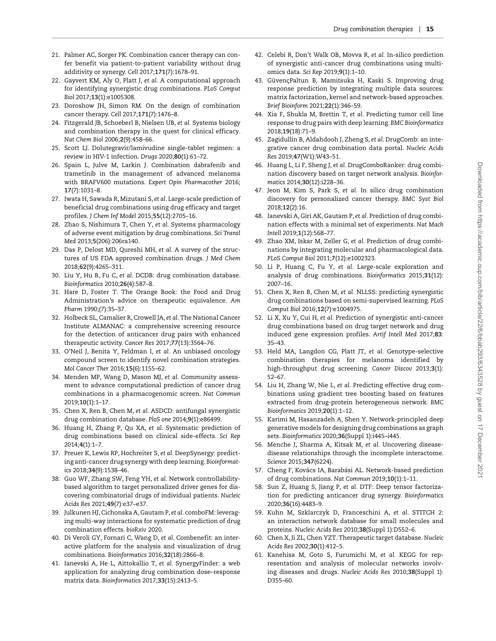- 21. Palmer AC, Sorger PK. Combination cancer therapy can confer benefit via patient-to-patient variability without drug additivity or synergy. *Cell* 2017;**171**(7):1678–91.
- <span id="page-15-0"></span>22. Gayvert KM, Aly O, Platt J, *et al.* A computational approach for identifying synergistic drug combinations. *PLoS Comput Biol* 2017;**13**(1):e1005308.
- <span id="page-15-1"></span>23. Doroshow JH, Simon RM. On the design of combination cancer therapy. *Cell* 2017;**171**(7):1476–8.
- <span id="page-15-2"></span>24. Fitzgerald JB, Schoeberl B, Nielsen UB, *et al.* Systems biology and combination therapy in the quest for clinical efficacy. *Nat Chem Biol* 2006;**2**(9):458–66.
- <span id="page-15-3"></span>25. Scott LJ. Dolutegravir/lamivudine single-tablet regimen: a review in HIV-1 infection. *Drugs* 2020;**80**(1):61–72.
- <span id="page-15-4"></span>26. Spain L, Julve M, Larkin J. Combination dabrafenib and trametinib in the management of advanced melanoma with BRAFV600 mutations. *Expert Opin Pharmacother* 2016; **17**(7):1031–8.
- <span id="page-15-5"></span>27. Iwata H, Sawada R, Mizutani S, *et al.* Large-scale prediction of beneficial drug combinations using drug efficacy and target profiles. *J Chem Inf Model* 2015;**55**(12):2705–16.
- <span id="page-15-6"></span>28. Zhao S, Nishimura T, Chen Y, *et al.* Systems pharmacology of adverse event mitigation by drug combinations. *Sci Transl Med* 2013;**5**(206):206ra140.
- <span id="page-15-7"></span>29. Das P, Delost MD, Qureshi MH, *et al.* A survey of the structures of US FDA approved combination drugs. *J Med Chem* 2018;**62**(9):4265–311.
- <span id="page-15-8"></span>30. Liu Y, Hu B, Fu C, *et al.* DCDB: drug combination database. *Bioinformatics* 2010;**26**(4):587–8.
- <span id="page-15-9"></span>31. Hare D, Foster T. The Orange Book: the Food and Drug Administration's advice on therapeutic equivalence. *Am Pharm* 1990;(7):35–37.
- <span id="page-15-10"></span>32. Holbeck SL, Camalier R, Crowell JA, *et al.* The National Cancer Institute ALMANAC: a comprehensive screening resource for the detection of anticancer drug pairs with enhanced therapeutic activity. *Cancer Res* 2017;**77**(13):3564–76.
- <span id="page-15-11"></span>33. O'Neil J, Benita Y, Feldman I, *et al.* An unbiased oncology compound screen to identify novel combination strategies. *Mol Cancer Ther* 2016;**15**(6):1155–62.
- <span id="page-15-12"></span>34. Menden MP, Wang D, Mason MJ, *et al.* Community assessment to advance computational prediction of cancer drug combinations in a pharmacogenomic screen. *Nat Commun* 2019;**10**(1):1–17.
- <span id="page-15-13"></span>35. Chen X, Ren B, Chen M, *et al.* ASDCD: antifungal synergistic drug combination database. *PloS one* 2014;**9**(1):e86499.
- <span id="page-15-14"></span>36. Huang H, Zhang P, Qu XA, *et al.* Systematic prediction of drug combinations based on clinical side-effects. *Sci Rep* 2014;**4**(1):1–7.
- <span id="page-15-15"></span>37. Preuer K, Lewis RP, Hochreiter S, *et al.* DeepSynergy: predicting anti-cancer drug synergy with deep learning. *Bioinformatics* 2018;**34**(9):1538–46.
- <span id="page-15-16"></span>38. Guo WF, Zhang SW, Feng YH, *et al.* Network controllabilitybased algorithm to target personalized driver genes for discovering combinatorial drugs of individual patients. *Nucleic Acids Res* 2021;**49**(7):e37–e37.
- <span id="page-15-18"></span>39. Julkunen HJ, Cichonska A, Gautam P, *et al.* comboFM: leveraging multi-way interactions for systematic prediction of drug combination effects. *bioRxiv* 2020.
- <span id="page-15-19"></span>40. Di Veroli GY, Fornari C, Wang D, *et al.* Combenefit: an interactive platform for the analysis and visualization of drug combinations. *Bioinformatics* 2016;**32**(18):2866–8.
- <span id="page-15-20"></span>41. Ianevski A, He L, Aittokallio T, *et al.* SynergyFinder: a web application for analyzing drug combination dose–response matrix data. *Bioinformatics* 2017;**33**(15):2413–5.
- <span id="page-15-21"></span>42. Celebi R, Don't Walk OB, Movva R, *et al.* In-silico prediction of synergistic anti-cancer drug combinations using multiomics data. *Sci Rep* 2019;**9**(1):1–10.
- <span id="page-15-17"></span>43. GüvençPaltun B, Mamitsuka H, Kaski S. Improving drug response prediction by integrating multiple data sources: matrix factorization, kernel and network-based approaches. *Brief Bioinform* 2021;**22**(1):346–59.
- <span id="page-15-22"></span>44. Xia F, Shukla M, Brettin T, *et al.* Predicting tumor cell line response to drug pairs with deep learning. *BMC Bioinformatics* 2018;**19**(18):71–9.
- <span id="page-15-23"></span>45. Zagidullin B, Aldahdooh J, Zheng S, *et al.* DrugComb: an integrative cancer drug combination data portal. *Nucleic Acids Res* 2019;**47**(W1):W43–51.
- <span id="page-15-24"></span>46. Huang L, Li F, Sheng J, *et al.* DrugComboRanker: drug combination discovery based on target network analysis. *Bioinformatics* 2014;**30**(12):i228–36.
- <span id="page-15-25"></span>47. Jeon M, Kim S, Park S, *et al.* In silico drug combination discovery for personalized cancer therapy. *BMC Syst Biol* 2018;**12**(2):16.
- <span id="page-15-26"></span>48. Ianevski A, Giri AK, Gautam P, *et al.* Prediction of drug combination effects with a minimal set of experiments. *Nat Mach Intell* 2019;**1**(12):568–77.
- <span id="page-15-27"></span>49. Zhao XM, Iskar M, Zeller G, *et al.* Prediction of drug combinations by integrating molecular and pharmacological data. *PLoS Comput Biol* 2011;**7**(12):e1002323.
- <span id="page-15-28"></span>50. Li P, Huang C, Fu Y, *et al.* Large-scale exploration and analysis of drug combinations. *Bioinformatics* 2015;**31**(12): 2007–16.
- <span id="page-15-29"></span>51. Chen X, Ren B, Chen M, *et al.* NLLSS: predicting synergistic drug combinations based on semi-supervised learning. *PLoS Comput Biol* 2016;**12**(7):e1004975.
- <span id="page-15-30"></span>52. Li X, Xu Y, Cui H, *et al.* Prediction of synergistic anti-cancer drug combinations based on drug target network and drug induced gene expression profiles. *Artif Intell Med* 2017;**83**: 35–43.
- <span id="page-15-31"></span>53. Held MA, Langdon CG, Platt JT, *et al.* Genotype-selective combination therapies for melanoma identified by high-throughput drug screening. *Cancer Discov* 2013;**3**(1): 52–67.
- <span id="page-15-32"></span>54. Liu H, Zhang W, Nie L, *et al.* Predicting effective drug combinations using gradient tree boosting based on features extracted from drug-protein heterogeneous network. *BMC Bioinformatics* 2019;**20**(1):1–12.
- <span id="page-15-33"></span>55. Karimi M, Hasanzadeh A, Shen Y. Network-principled deep generative models for designing drug combinations as graph sets. *Bioinformatics* 2020;**36**(Suppl 1):i445–i445.
- <span id="page-15-34"></span>56. Menche J, Sharma A, Kitsak M, *et al.* Uncovering diseasedisease relationships through the incomplete interactome. *Science* 2015;**347**(6224).
- <span id="page-15-35"></span>57. Cheng F, Kovács IA, Barabási AL. Network-based prediction of drug combinations. *Nat Commun* 2019;**10**(1):1–11.
- <span id="page-15-36"></span>58. Sun Z, Huang S, Jiang P, *et al.* DTF: Deep tensor factorization for predicting anticancer drug synergy. *Bioinformatics* 2020;**36**(16):4483–9.
- <span id="page-15-37"></span>59. Kuhn M, Szklarczyk D, Franceschini A, *et al.* STITCH 2: an interaction network database for small molecules and proteins. *Nucleic Acids Res* 2010;**38**(Suppl 1):D552–6.
- <span id="page-15-38"></span>60. Chen X, Ji ZL, Chen YZT. Therapeutic target database. *Nucleic Acids Res* 2002;**30**(1):412–5.
- <span id="page-15-39"></span>61. Kanehisa M, Goto S, Furumichi M, *et al.* KEGG for representation and analysis of molecular networks involving diseases and drugs. *Nucleic Acids Res* 2010;**38**(Suppl 1): D355–60.